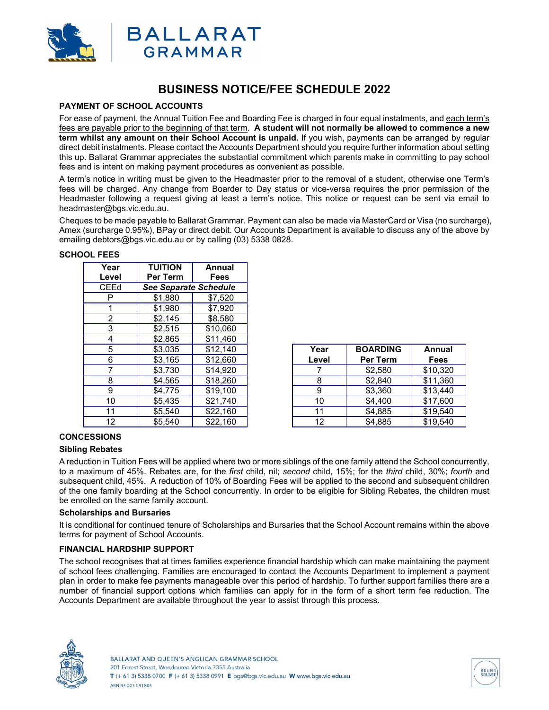

# **BUSINESS NOTICE/FEE SCHEDULE 2022**

# **PAYMENT OF SCHOOL ACCOUNTS**

For ease of payment, the Annual Tuition Fee and Boarding Fee is charged in four equal instalments, and each term's fees are payable prior to the beginning of that term. **A student will not normally be allowed to commence a new term whilst any amount on their School Account is unpaid.** If you wish, payments can be arranged by regular direct debit instalments. Please contact the Accounts Department should you require further information about setting this up. Ballarat Grammar appreciates the substantial commitment which parents make in committing to pay school fees and is intent on making payment procedures as convenient as possible.

A term's notice in writing must be given to the Headmaster prior to the removal of a student, otherwise one Term's fees will be charged. Any change from Boarder to Day status or vice-versa requires the prior permission of the Headmaster following a request giving at least a term's notice. This notice or request can be sent via email to headmaster@bgs.vic.edu.au.

Cheques to be made payable to Ballarat Grammar. Payment can also be made via MasterCard or Visa (no surcharge), Amex (surcharge 0.95%), BPay or direct debit. Our Accounts Department is available to discuss any of the above by emailing debtors@bgs.vic.edu.au or by calling (03) 5338 0828.

| Year<br>Level | <b>TUITION</b><br>Per Term   | Annual<br>Fees |  |  |  |
|---------------|------------------------------|----------------|--|--|--|
| <b>CEEd</b>   | <b>See Separate Schedule</b> |                |  |  |  |
| P             | \$1.880                      | \$7.520        |  |  |  |
|               | \$1,980                      | \$7,920        |  |  |  |
| 2             | \$2,145                      | \$8,580        |  |  |  |
| 3             | \$2,515                      | \$10,060       |  |  |  |
| 4             | \$2,865                      | \$11,460       |  |  |  |
| 5             | \$3,035                      | \$12,140       |  |  |  |
| 6             | \$3,165                      | \$12,660       |  |  |  |
|               | \$3,730                      | \$14,920       |  |  |  |
| 8             | \$4,565                      | \$18,260       |  |  |  |
| 9             | \$4,775                      | \$19,100       |  |  |  |
| 10            | \$5,435                      | \$21,740       |  |  |  |
| 11            | \$5,540                      | \$22,160       |  |  |  |
| 12            | \$5,540                      | \$22,160       |  |  |  |

| <b>SCHOOL FEES</b> |  |
|--------------------|--|
|--------------------|--|

| 5  | \$3,035 | \$12,140 | Year  | <b>BOARDING</b> | Annual      |
|----|---------|----------|-------|-----------------|-------------|
| 6  | \$3,165 | \$12,660 | Level | Per Term        | <b>Fees</b> |
|    | \$3,730 | \$14,920 |       | \$2,580         | \$10,320    |
| 8  | \$4,565 | \$18,260 |       | \$2,840         | \$11,360    |
| 9  | \$4,775 | \$19,100 | 9     | \$3,360         | \$13,440    |
| 10 | \$5,435 | \$21.740 | 10    | \$4,400         | \$17,600    |
| 11 | \$5,540 | \$22,160 | 11    | \$4,885         | \$19,540    |
| 12 | \$5,540 | \$22,160 | 12    | \$4,885         | \$19,540    |

# **CONCESSIONS**

### **Sibling Rebates**

A reduction in Tuition Fees will be applied where two or more siblings of the one family attend the School concurrently, to a maximum of 45%. Rebates are, for the *first* child, nil; *second* child, 15%; for the *third* child, 30%; *fourth* and subsequent child, 45%. A reduction of 10% of Boarding Fees will be applied to the second and subsequent children of the one family boarding at the School concurrently. In order to be eligible for Sibling Rebates, the children must be enrolled on the same family account.

### **Scholarships and Bursaries**

It is conditional for continued tenure of Scholarships and Bursaries that the School Account remains within the above terms for payment of School Accounts.

# **FINANCIAL HARDSHIP SUPPORT**

The school recognises that at times families experience financial hardship which can make maintaining the payment of school fees challenging. Families are encouraged to contact the Accounts Department to implement a payment plan in order to make fee payments manageable over this period of hardship. To further support families there are a number of financial support options which families can apply for in the form of a short term fee reduction. The Accounts Department are available throughout the year to assist through this process.



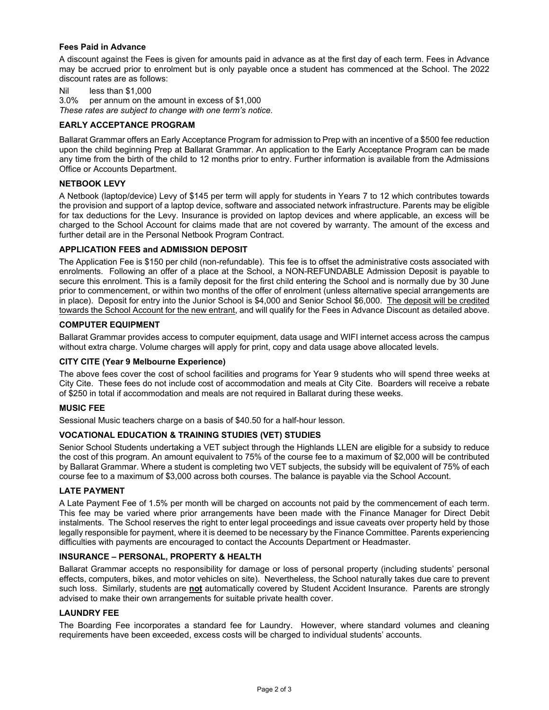## **Fees Paid in Advance**

A discount against the Fees is given for amounts paid in advance as at the first day of each term. Fees in Advance may be accrued prior to enrolment but is only payable once a student has commenced at the School. The 2022 discount rates are as follows:

Nil less than \$1,000

3.0% per annum on the amount in excess of \$1,000

*These rates are subject to change with one term's notice.* 

## **EARLY ACCEPTANCE PROGRAM**

Ballarat Grammar offers an Early Acceptance Program for admission to Prep with an incentive of a \$500 fee reduction upon the child beginning Prep at Ballarat Grammar. An application to the Early Acceptance Program can be made any time from the birth of the child to 12 months prior to entry. Further information is available from the Admissions Office or Accounts Department.

## **NETBOOK LEVY**

A Netbook (laptop/device) Levy of \$145 per term will apply for students in Years 7 to 12 which contributes towards the provision and support of a laptop device, software and associated network infrastructure. Parents may be eligible for tax deductions for the Levy. Insurance is provided on laptop devices and where applicable, an excess will be charged to the School Account for claims made that are not covered by warranty. The amount of the excess and further detail are in the Personal Netbook Program Contract.

# **APPLICATION FEES and ADMISSION DEPOSIT**

The Application Fee is \$150 per child (non-refundable). This fee is to offset the administrative costs associated with enrolments. Following an offer of a place at the School, a NON-REFUNDABLE Admission Deposit is payable to secure this enrolment. This is a family deposit for the first child entering the School and is normally due by 30 June prior to commencement, or within two months of the offer of enrolment (unless alternative special arrangements are in place). Deposit for entry into the Junior School is \$4,000 and Senior School \$6,000. The deposit will be credited towards the School Account for the new entrant, and will qualify for the Fees in Advance Discount as detailed above.

## **COMPUTER EQUIPMENT**

Ballarat Grammar provides access to computer equipment, data usage and WIFI internet access across the campus without extra charge. Volume charges will apply for print, copy and data usage above allocated levels.

### **CITY CITE (Year 9 Melbourne Experience)**

The above fees cover the cost of school facilities and programs for Year 9 students who will spend three weeks at City Cite. These fees do not include cost of accommodation and meals at City Cite. Boarders will receive a rebate of \$250 in total if accommodation and meals are not required in Ballarat during these weeks.

### **MUSIC FEE**

Sessional Music teachers charge on a basis of \$40.50 for a half-hour lesson.

## **VOCATIONAL EDUCATION & TRAINING STUDIES (VET) STUDIES**

Senior School Students undertaking a VET subject through the Highlands LLEN are eligible for a subsidy to reduce the cost of this program. An amount equivalent to 75% of the course fee to a maximum of \$2,000 will be contributed by Ballarat Grammar. Where a student is completing two VET subjects, the subsidy will be equivalent of 75% of each course fee to a maximum of \$3,000 across both courses. The balance is payable via the School Account.

### **LATE PAYMENT**

A Late Payment Fee of 1.5% per month will be charged on accounts not paid by the commencement of each term. This fee may be varied where prior arrangements have been made with the Finance Manager for Direct Debit instalments. The School reserves the right to enter legal proceedings and issue caveats over property held by those legally responsible for payment, where it is deemed to be necessary by the Finance Committee. Parents experiencing difficulties with payments are encouraged to contact the Accounts Department or Headmaster.

## **INSURANCE – PERSONAL, PROPERTY & HEALTH**

Ballarat Grammar accepts no responsibility for damage or loss of personal property (including students' personal effects, computers, bikes, and motor vehicles on site). Nevertheless, the School naturally takes due care to prevent such loss. Similarly, students are **not** automatically covered by Student Accident Insurance. Parents are strongly advised to make their own arrangements for suitable private health cover.

### **LAUNDRY FEE**

The Boarding Fee incorporates a standard fee for Laundry. However, where standard volumes and cleaning requirements have been exceeded, excess costs will be charged to individual students' accounts.